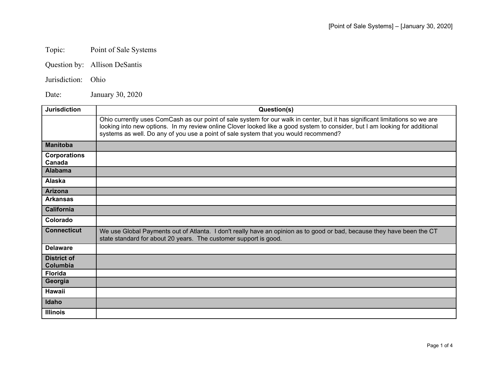## Topic: Point of Sale Systems

- Question by: Allison DeSantis
- Jurisdiction: Ohio

Date: January 30, 2020

| <b>Jurisdiction</b>                   | Question(s)                                                                                                                                                                                                                                                                                                                                        |
|---------------------------------------|----------------------------------------------------------------------------------------------------------------------------------------------------------------------------------------------------------------------------------------------------------------------------------------------------------------------------------------------------|
|                                       | Ohio currently uses ComCash as our point of sale system for our walk in center, but it has significant limitations so we are<br>looking into new options. In my review online Clover looked like a good system to consider, but I am looking for additional<br>systems as well. Do any of you use a point of sale system that you would recommend? |
| <b>Manitoba</b>                       |                                                                                                                                                                                                                                                                                                                                                    |
| <b>Corporations</b><br>Canada         |                                                                                                                                                                                                                                                                                                                                                    |
| <b>Alabama</b>                        |                                                                                                                                                                                                                                                                                                                                                    |
| Alaska                                |                                                                                                                                                                                                                                                                                                                                                    |
| <b>Arizona</b>                        |                                                                                                                                                                                                                                                                                                                                                    |
| <b>Arkansas</b>                       |                                                                                                                                                                                                                                                                                                                                                    |
| <b>California</b>                     |                                                                                                                                                                                                                                                                                                                                                    |
| Colorado                              |                                                                                                                                                                                                                                                                                                                                                    |
| <b>Connecticut</b>                    | We use Global Payments out of Atlanta. I don't really have an opinion as to good or bad, because they have been the CT<br>state standard for about 20 years. The customer support is good.                                                                                                                                                         |
| <b>Delaware</b>                       |                                                                                                                                                                                                                                                                                                                                                    |
| <b>District of</b><br><b>Columbia</b> |                                                                                                                                                                                                                                                                                                                                                    |
| <b>Florida</b>                        |                                                                                                                                                                                                                                                                                                                                                    |
| Georgia                               |                                                                                                                                                                                                                                                                                                                                                    |
| <b>Hawaii</b>                         |                                                                                                                                                                                                                                                                                                                                                    |
| Idaho                                 |                                                                                                                                                                                                                                                                                                                                                    |
| <b>Illinois</b>                       |                                                                                                                                                                                                                                                                                                                                                    |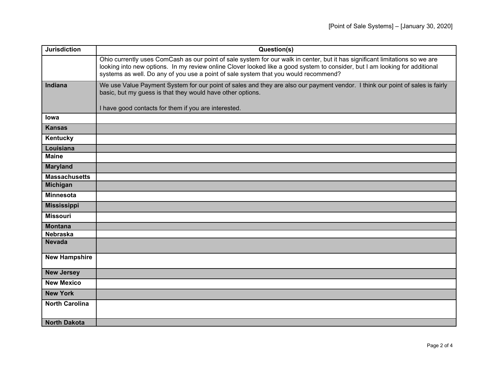| <b>Jurisdiction</b>               | Question(s)                                                                                                                                                                                                                                                                                                                                        |
|-----------------------------------|----------------------------------------------------------------------------------------------------------------------------------------------------------------------------------------------------------------------------------------------------------------------------------------------------------------------------------------------------|
|                                   | Ohio currently uses ComCash as our point of sale system for our walk in center, but it has significant limitations so we are<br>looking into new options. In my review online Clover looked like a good system to consider, but I am looking for additional<br>systems as well. Do any of you use a point of sale system that you would recommend? |
| <b>Indiana</b>                    | We use Value Payment System for our point of sales and they are also our payment vendor. I think our point of sales is fairly<br>basic, but my guess is that they would have other options.<br>I have good contacts for them if you are interested.                                                                                                |
| lowa                              |                                                                                                                                                                                                                                                                                                                                                    |
| <b>Kansas</b>                     |                                                                                                                                                                                                                                                                                                                                                    |
| Kentucky                          |                                                                                                                                                                                                                                                                                                                                                    |
|                                   |                                                                                                                                                                                                                                                                                                                                                    |
| Louisiana<br><b>Maine</b>         |                                                                                                                                                                                                                                                                                                                                                    |
| <b>Maryland</b>                   |                                                                                                                                                                                                                                                                                                                                                    |
| <b>Massachusetts</b>              |                                                                                                                                                                                                                                                                                                                                                    |
| Michigan                          |                                                                                                                                                                                                                                                                                                                                                    |
| <b>Minnesota</b>                  |                                                                                                                                                                                                                                                                                                                                                    |
| <b>Mississippi</b>                |                                                                                                                                                                                                                                                                                                                                                    |
| <b>Missouri</b>                   |                                                                                                                                                                                                                                                                                                                                                    |
|                                   |                                                                                                                                                                                                                                                                                                                                                    |
| <b>Montana</b><br><b>Nebraska</b> |                                                                                                                                                                                                                                                                                                                                                    |
| <b>Nevada</b>                     |                                                                                                                                                                                                                                                                                                                                                    |
|                                   |                                                                                                                                                                                                                                                                                                                                                    |
| <b>New Hampshire</b>              |                                                                                                                                                                                                                                                                                                                                                    |
| <b>New Jersey</b>                 |                                                                                                                                                                                                                                                                                                                                                    |
| <b>New Mexico</b>                 |                                                                                                                                                                                                                                                                                                                                                    |
| <b>New York</b>                   |                                                                                                                                                                                                                                                                                                                                                    |
|                                   |                                                                                                                                                                                                                                                                                                                                                    |
| <b>North Carolina</b>             |                                                                                                                                                                                                                                                                                                                                                    |
|                                   |                                                                                                                                                                                                                                                                                                                                                    |
| <b>North Dakota</b>               |                                                                                                                                                                                                                                                                                                                                                    |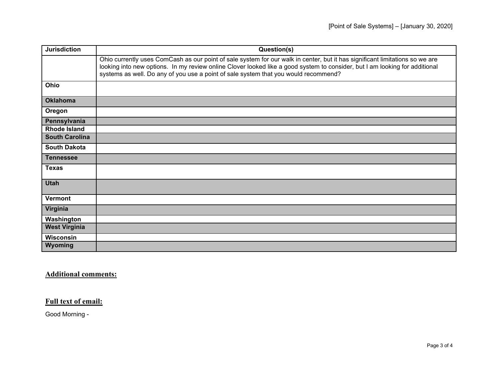| <b>Jurisdiction</b>   | Question(s)                                                                                                                                                                                                                                                                                                                                        |
|-----------------------|----------------------------------------------------------------------------------------------------------------------------------------------------------------------------------------------------------------------------------------------------------------------------------------------------------------------------------------------------|
|                       | Ohio currently uses ComCash as our point of sale system for our walk in center, but it has significant limitations so we are<br>looking into new options. In my review online Clover looked like a good system to consider, but I am looking for additional<br>systems as well. Do any of you use a point of sale system that you would recommend? |
| Ohio                  |                                                                                                                                                                                                                                                                                                                                                    |
| <b>Oklahoma</b>       |                                                                                                                                                                                                                                                                                                                                                    |
| Oregon                |                                                                                                                                                                                                                                                                                                                                                    |
| Pennsylvania          |                                                                                                                                                                                                                                                                                                                                                    |
| <b>Rhode Island</b>   |                                                                                                                                                                                                                                                                                                                                                    |
| <b>South Carolina</b> |                                                                                                                                                                                                                                                                                                                                                    |
| <b>South Dakota</b>   |                                                                                                                                                                                                                                                                                                                                                    |
| <b>Tennessee</b>      |                                                                                                                                                                                                                                                                                                                                                    |
| <b>Texas</b>          |                                                                                                                                                                                                                                                                                                                                                    |
| <b>Utah</b>           |                                                                                                                                                                                                                                                                                                                                                    |
| <b>Vermont</b>        |                                                                                                                                                                                                                                                                                                                                                    |
| Virginia              |                                                                                                                                                                                                                                                                                                                                                    |
| Washington            |                                                                                                                                                                                                                                                                                                                                                    |
| <b>West Virginia</b>  |                                                                                                                                                                                                                                                                                                                                                    |
| Wisconsin             |                                                                                                                                                                                                                                                                                                                                                    |
| <b>Wyoming</b>        |                                                                                                                                                                                                                                                                                                                                                    |

## **Additional comments:**

## **Full text of email:**

Good Morning -